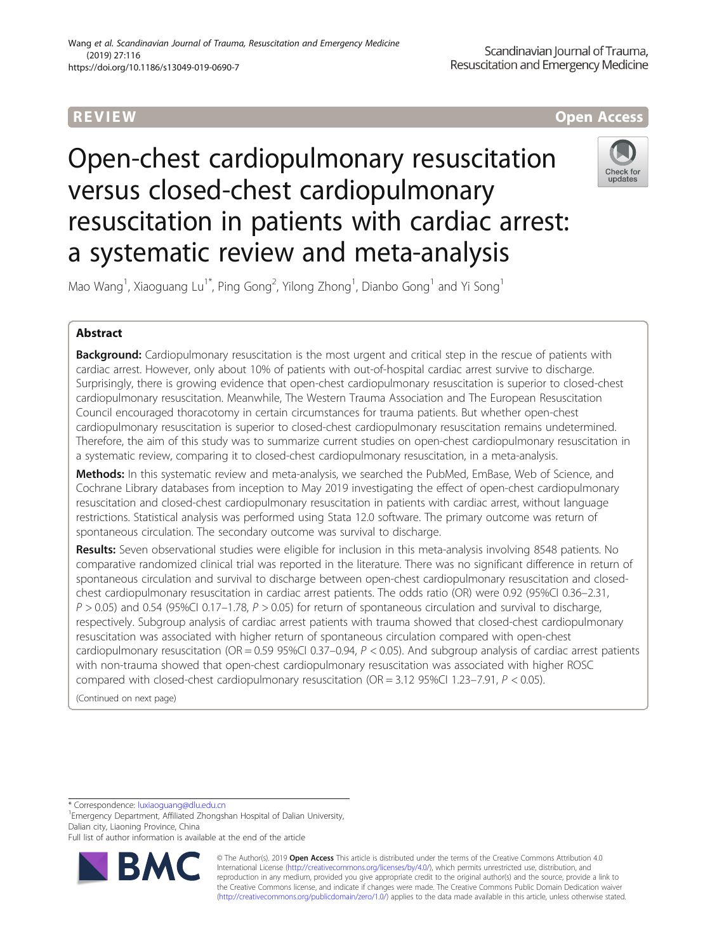**REVIEW CONSUMING THE CONSUMING OPEN ACCESS** 

# Open-chest cardiopulmonary resuscitation versus closed-chest cardiopulmonary resuscitation in patients with cardiac arrest: a systematic review and meta-analysis



Mao Wang<sup>1</sup>, Xiaoguang Lu<sup>1\*</sup>, Ping Gong<sup>2</sup>, Yilong Zhong<sup>1</sup>, Dianbo Gong<sup>1</sup> and Yi Song<sup>1</sup>

## Abstract

Background: Cardiopulmonary resuscitation is the most urgent and critical step in the rescue of patients with cardiac arrest. However, only about 10% of patients with out-of-hospital cardiac arrest survive to discharge. Surprisingly, there is growing evidence that open-chest cardiopulmonary resuscitation is superior to closed-chest cardiopulmonary resuscitation. Meanwhile, The Western Trauma Association and The European Resuscitation Council encouraged thoracotomy in certain circumstances for trauma patients. But whether open-chest cardiopulmonary resuscitation is superior to closed-chest cardiopulmonary resuscitation remains undetermined. Therefore, the aim of this study was to summarize current studies on open-chest cardiopulmonary resuscitation in a systematic review, comparing it to closed-chest cardiopulmonary resuscitation, in a meta-analysis.

Methods: In this systematic review and meta-analysis, we searched the PubMed, EmBase, Web of Science, and Cochrane Library databases from inception to May 2019 investigating the effect of open-chest cardiopulmonary resuscitation and closed-chest cardiopulmonary resuscitation in patients with cardiac arrest, without language restrictions. Statistical analysis was performed using Stata 12.0 software. The primary outcome was return of spontaneous circulation. The secondary outcome was survival to discharge.

Results: Seven observational studies were eligible for inclusion in this meta-analysis involving 8548 patients. No comparative randomized clinical trial was reported in the literature. There was no significant difference in return of spontaneous circulation and survival to discharge between open-chest cardiopulmonary resuscitation and closedchest cardiopulmonary resuscitation in cardiac arrest patients. The odds ratio (OR) were 0.92 (95%CI 0.36–2.31,  $P > 0.05$ ) and 0.54 (95%CI 0.17–1.78,  $P > 0.05$ ) for return of spontaneous circulation and survival to discharge, respectively. Subgroup analysis of cardiac arrest patients with trauma showed that closed-chest cardiopulmonary resuscitation was associated with higher return of spontaneous circulation compared with open-chest cardiopulmonary resuscitation (OR = 0.59 95%CI 0.37-0.94,  $P < 0.05$ ). And subgroup analysis of cardiac arrest patients with non-trauma showed that open-chest cardiopulmonary resuscitation was associated with higher ROSC compared with closed-chest cardiopulmonary resuscitation (OR = 3.12 95%CI 1.23–7.91, P < 0.05).

(Continued on next page)

\* Correspondence: [luxiaoguang@dlu.edu.cn](mailto:luxiaoguang@dlu.edu.cn) <sup>1</sup>

<sup>1</sup> Emergency Department, Affiliated Zhongshan Hospital of Dalian University, Dalian city, Liaoning Province, China

Full list of author information is available at the end of the article



© The Author(s). 2019 Open Access This article is distributed under the terms of the Creative Commons Attribution 4.0 International License [\(http://creativecommons.org/licenses/by/4.0/](http://creativecommons.org/licenses/by/4.0/)), which permits unrestricted use, distribution, and reproduction in any medium, provided you give appropriate credit to the original author(s) and the source, provide a link to the Creative Commons license, and indicate if changes were made. The Creative Commons Public Domain Dedication waiver [\(http://creativecommons.org/publicdomain/zero/1.0/](http://creativecommons.org/publicdomain/zero/1.0/)) applies to the data made available in this article, unless otherwise stated.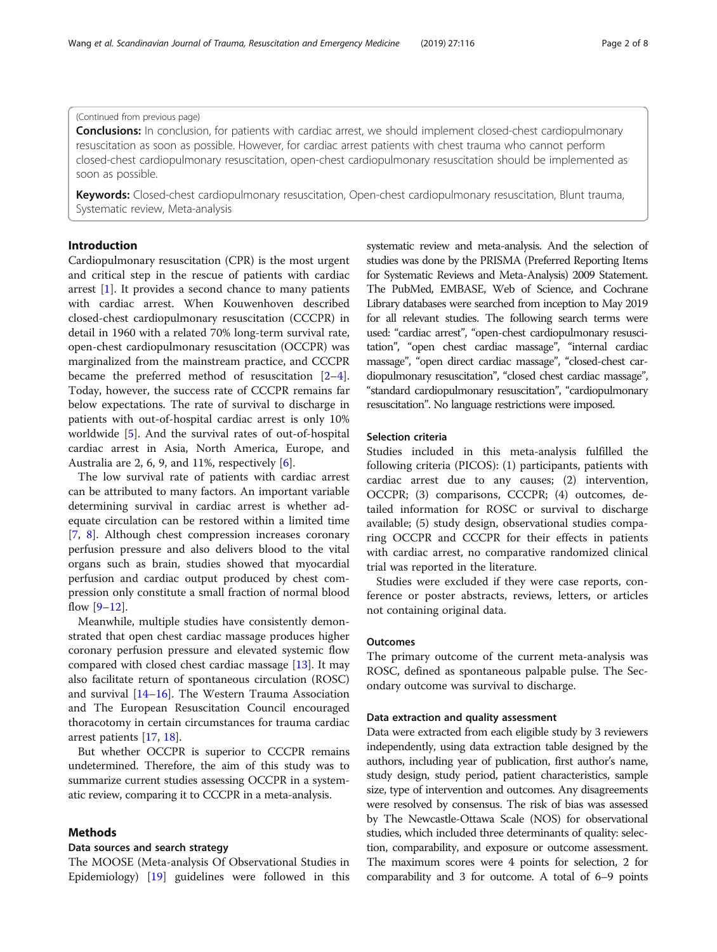#### (Continued from previous page)

**Conclusions:** In conclusion, for patients with cardiac arrest, we should implement closed-chest cardiopulmonary resuscitation as soon as possible. However, for cardiac arrest patients with chest trauma who cannot perform closed-chest cardiopulmonary resuscitation, open-chest cardiopulmonary resuscitation should be implemented as soon as possible.

Keywords: Closed-chest cardiopulmonary resuscitation, Open-chest cardiopulmonary resuscitation, Blunt trauma, Systematic review, Meta-analysis

#### Introduction

Cardiopulmonary resuscitation (CPR) is the most urgent and critical step in the rescue of patients with cardiac arrest [[1\]](#page-6-0). It provides a second chance to many patients with cardiac arrest. When Kouwenhoven described closed-chest cardiopulmonary resuscitation (CCCPR) in detail in 1960 with a related 70% long-term survival rate, open-chest cardiopulmonary resuscitation (OCCPR) was marginalized from the mainstream practice, and CCCPR became the preferred method of resuscitation [\[2](#page-6-0)–[4](#page-6-0)]. Today, however, the success rate of CCCPR remains far below expectations. The rate of survival to discharge in patients with out-of-hospital cardiac arrest is only 10% worldwide [\[5](#page-6-0)]. And the survival rates of out-of-hospital cardiac arrest in Asia, North America, Europe, and Australia are 2, 6, 9, and 11%, respectively [\[6](#page-6-0)].

The low survival rate of patients with cardiac arrest can be attributed to many factors. An important variable determining survival in cardiac arrest is whether adequate circulation can be restored within a limited time [[7,](#page-6-0) [8\]](#page-7-0). Although chest compression increases coronary perfusion pressure and also delivers blood to the vital organs such as brain, studies showed that myocardial perfusion and cardiac output produced by chest compression only constitute a small fraction of normal blood flow  $[9-12]$  $[9-12]$  $[9-12]$ .

Meanwhile, multiple studies have consistently demonstrated that open chest cardiac massage produces higher coronary perfusion pressure and elevated systemic flow compared with closed chest cardiac massage [[13\]](#page-7-0). It may also facilitate return of spontaneous circulation (ROSC) and survival [[14](#page-7-0)–[16](#page-7-0)]. The Western Trauma Association and The European Resuscitation Council encouraged thoracotomy in certain circumstances for trauma cardiac arrest patients [[17,](#page-7-0) [18\]](#page-7-0).

But whether OCCPR is superior to CCCPR remains undetermined. Therefore, the aim of this study was to summarize current studies assessing OCCPR in a systematic review, comparing it to CCCPR in a meta-analysis.

#### Methods

#### Data sources and search strategy

The MOOSE (Meta-analysis Of Observational Studies in Epidemiology) [\[19](#page-7-0)] guidelines were followed in this

systematic review and meta-analysis. And the selection of studies was done by the PRISMA (Preferred Reporting Items for Systematic Reviews and Meta-Analysis) 2009 Statement. The PubMed, EMBASE, Web of Science, and Cochrane Library databases were searched from inception to May 2019 for all relevant studies. The following search terms were used: "cardiac arrest", "open-chest cardiopulmonary resuscitation", "open chest cardiac massage", "internal cardiac massage", "open direct cardiac massage", "closed-chest cardiopulmonary resuscitation", "closed chest cardiac massage", "standard cardiopulmonary resuscitation", "cardiopulmonary resuscitation". No language restrictions were imposed.

#### Selection criteria

Studies included in this meta-analysis fulfilled the following criteria (PICOS): (1) participants, patients with cardiac arrest due to any causes; (2) intervention, OCCPR; (3) comparisons, CCCPR; (4) outcomes, detailed information for ROSC or survival to discharge available; (5) study design, observational studies comparing OCCPR and CCCPR for their effects in patients with cardiac arrest, no comparative randomized clinical trial was reported in the literature.

Studies were excluded if they were case reports, conference or poster abstracts, reviews, letters, or articles not containing original data.

#### **Outcomes**

The primary outcome of the current meta-analysis was ROSC, defined as spontaneous palpable pulse. The Secondary outcome was survival to discharge.

#### Data extraction and quality assessment

Data were extracted from each eligible study by 3 reviewers independently, using data extraction table designed by the authors, including year of publication, first author's name, study design, study period, patient characteristics, sample size, type of intervention and outcomes. Any disagreements were resolved by consensus. The risk of bias was assessed by The Newcastle-Ottawa Scale (NOS) for observational studies, which included three determinants of quality: selection, comparability, and exposure or outcome assessment. The maximum scores were 4 points for selection, 2 for comparability and 3 for outcome. A total of 6–9 points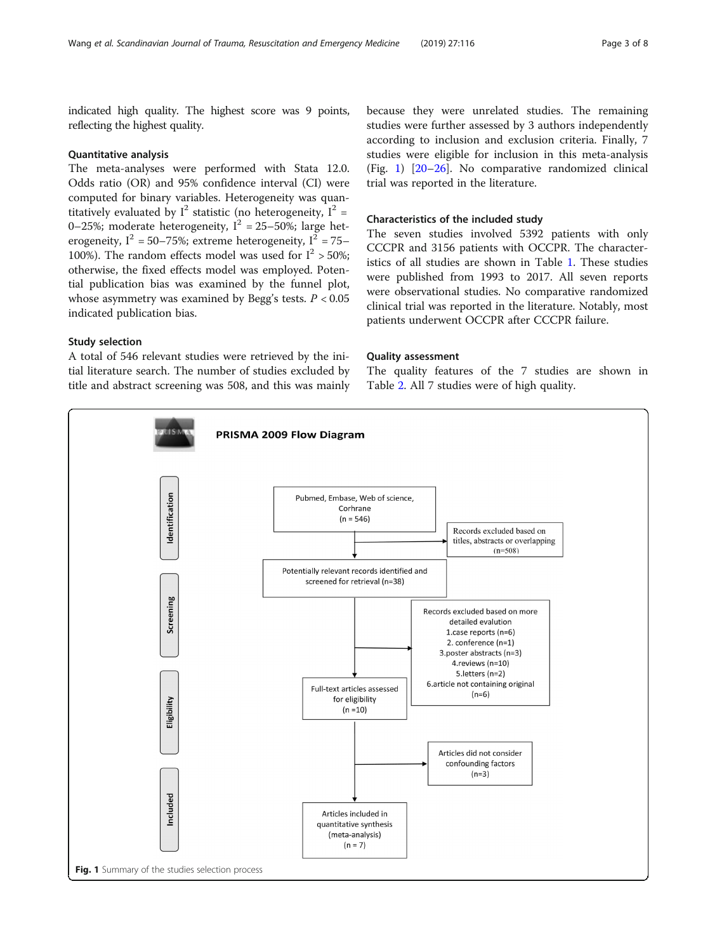indicated high quality. The highest score was 9 points, reflecting the highest quality.

#### Quantitative analysis

The meta-analyses were performed with Stata 12.0. Odds ratio (OR) and 95% confidence interval (CI) were computed for binary variables. Heterogeneity was quantitatively evaluated by  $I^2$  statistic (no heterogeneity,  $I^2$  = 0–25%; moderate heterogeneity,  $I^2 = 25-50$ %; large heterogeneity,  $I^2 = 50-75\%$ ; extreme heterogeneity,  $I^2 = 75-$ 100%). The random effects model was used for  $I^2 > 50\%$ ; otherwise, the fixed effects model was employed. Potential publication bias was examined by the funnel plot, whose asymmetry was examined by Begg's tests.  $P < 0.05$ indicated publication bias.

#### Study selection

A total of 546 relevant studies were retrieved by the initial literature search. The number of studies excluded by title and abstract screening was 508, and this was mainly

because they were unrelated studies. The remaining studies were further assessed by 3 authors independently according to inclusion and exclusion criteria. Finally, 7 studies were eligible for inclusion in this meta-analysis (Fig. 1) [\[20](#page-7-0)–[26\]](#page-7-0). No comparative randomized clinical trial was reported in the literature.

### Characteristics of the included study

The seven studies involved 5392 patients with only CCCPR and 3156 patients with OCCPR. The characteristics of all studies are shown in Table [1](#page-3-0). These studies were published from 1993 to 2017. All seven reports were observational studies. No comparative randomized clinical trial was reported in the literature. Notably, most patients underwent OCCPR after CCCPR failure.

#### Quality assessment

The quality features of the 7 studies are shown in Table [2.](#page-3-0) All 7 studies were of high quality.

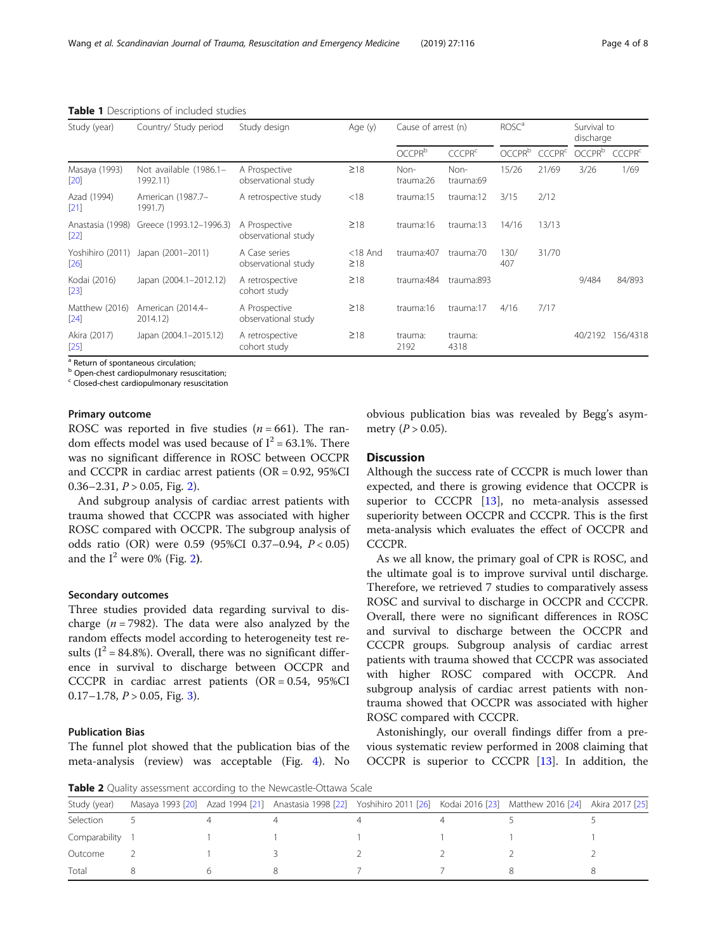| Study (year)               | Country/ Study period              | Study design                         | Age (y)                 | Cause of arrest (n) |                          | ROSC <sup>a</sup> |                          | Survival to<br>discharge |                          |
|----------------------------|------------------------------------|--------------------------------------|-------------------------|---------------------|--------------------------|-------------------|--------------------------|--------------------------|--------------------------|
|                            |                                    |                                      |                         | OCCPR <sup>b</sup>  | <b>CCCPR<sup>c</sup></b> | <b>OCCPR</b> b    | <b>CCCPR<sup>c</sup></b> | OCCPR <sup>b</sup>       | <b>CCCPR<sup>c</sup></b> |
| Masaya (1993)<br>$[20]$    | Not available (1986.1-<br>1992.11) | A Prospective<br>observational study | $\geq$ 18               | Non-<br>trauma:26   | Non-<br>trauma:69        | 15/26             | 21/69                    | 3/26                     | 1/69                     |
| Azad (1994)<br>$[21]$      | American (1987.7-<br>1991.7)       | A retrospective study                | < 18                    | trauma:15           | trauma:12                | 3/15              | 2/12                     |                          |                          |
| Anastasia (1998)<br>$[22]$ | Greece (1993.12-1996.3)            | A Prospective<br>observational study | $\geq$ 18               | trauma:16           | trauma:13                | 14/16             | 13/13                    |                          |                          |
| $[26]$                     | Yoshihiro (2011) Japan (2001–2011) | A Case series<br>observational study | $<$ 18 And<br>$\geq$ 18 | trauma: 407         | trauma:70                | 130/<br>407       | 31/70                    |                          |                          |
| Kodai (2016)<br>$[23]$     | Japan (2004.1-2012.12)             | A retrospective<br>cohort study      | $\geq$ 18               | trauma:484          | trauma:893               |                   |                          | 9/484                    | 84/893                   |
| Matthew (2016)<br>$[24]$   | American (2014.4-<br>2014.12)      | A Prospective<br>observational study | $\geq$ 18               | trauma:16           | trauma:17                | 4/16              | 7/17                     |                          |                          |
| Akira (2017)<br>$[25]$     | Japan (2004.1-2015.12)             | A retrospective<br>cohort study      | $\geq$ 18               | trauma:<br>2192     | trauma:<br>4318          |                   |                          | 40/2192                  | 156/4318                 |

<span id="page-3-0"></span>Table 1 Descriptions of included studies

<sup>a</sup> Return of spontaneous circulation;

b Open-chest cardiopulmonary resuscitation;

<sup>c</sup> Closed-chest cardiopulmonary resuscitation

#### Primary outcome

ROSC was reported in five studies  $(n = 661)$ . The random effects model was used because of  $I^2$  = 63.1%. There was no significant difference in ROSC between OCCPR and CCCPR in cardiac arrest patients (OR = 0.92, 95%CI 0.36–[2](#page-4-0).31,  $P > 0.05$ , Fig. 2).

And subgroup analysis of cardiac arrest patients with trauma showed that CCCPR was associated with higher ROSC compared with OCCPR. The subgroup analysis of odds ratio (OR) were 0.59 (95%CI 0.37–0.94, P < 0.05) and the  $I^2$  $I^2$  were 0% (Fig. 2).

#### Secondary outcomes

Three studies provided data regarding survival to discharge ( $n = 7982$ ). The data were also analyzed by the random effects model according to heterogeneity test results ( $I^2 = 84.8\%$ ). Overall, there was no significant difference in survival to discharge between OCCPR and CCCPR in cardiac arrest patients  $(OR = 0.54, 95\%CI$  $0.17-1.78$ ,  $P > 0.05$ , Fig. [3](#page-5-0)).

#### Publication Bias

The funnel plot showed that the publication bias of the meta-analysis (review) was acceptable (Fig. [4\)](#page-5-0). No obvious publication bias was revealed by Begg's asymmetry ( $P > 0.05$ ).

#### **Discussion**

Although the success rate of CCCPR is much lower than expected, and there is growing evidence that OCCPR is superior to CCCPR [[13\]](#page-7-0), no meta-analysis assessed superiority between OCCPR and CCCPR. This is the first meta-analysis which evaluates the effect of OCCPR and CCCPR.

As we all know, the primary goal of CPR is ROSC, and the ultimate goal is to improve survival until discharge. Therefore, we retrieved 7 studies to comparatively assess ROSC and survival to discharge in OCCPR and CCCPR. Overall, there were no significant differences in ROSC and survival to discharge between the OCCPR and CCCPR groups. Subgroup analysis of cardiac arrest patients with trauma showed that CCCPR was associated with higher ROSC compared with OCCPR. And subgroup analysis of cardiac arrest patients with nontrauma showed that OCCPR was associated with higher ROSC compared with CCCPR.

Astonishingly, our overall findings differ from a previous systematic review performed in 2008 claiming that OCCPR is superior to CCCPR [[13\]](#page-7-0). In addition, the

**Table 2** Quality assessment according to the Newcastle-Ottawa Scale

| Comparability 1 |  |  |  |  |  |                                                                                                                           |  |  |  |  |  |  |
|-----------------|--|--|--|--|--|---------------------------------------------------------------------------------------------------------------------------|--|--|--|--|--|--|
|                 |  |  |  |  |  |                                                                                                                           |  |  |  |  |  |  |
|                 |  |  |  |  |  |                                                                                                                           |  |  |  |  |  |  |
|                 |  |  |  |  |  | Masaya 1993 [20] Azad 1994 [21] Anastasia 1998 [22] Yoshihiro 2011 [26] Kodai 2016 [23] Matthew 2016 [24] Akira 2017 [25] |  |  |  |  |  |  |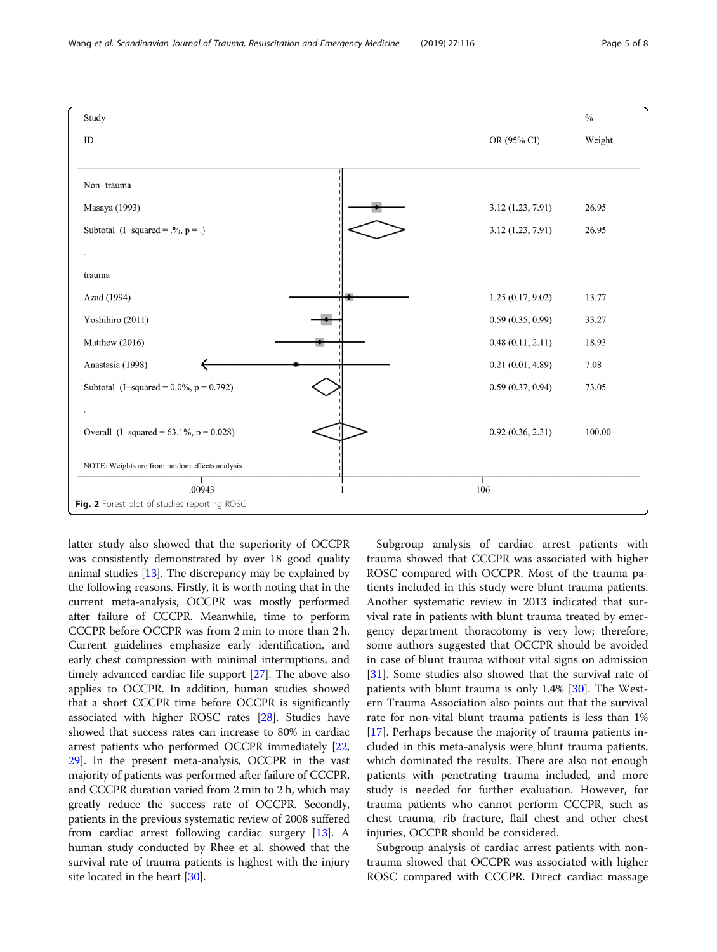<span id="page-4-0"></span>

latter study also showed that the superiority of OCCPR was consistently demonstrated by over 18 good quality animal studies [[13](#page-7-0)]. The discrepancy may be explained by the following reasons. Firstly, it is worth noting that in the current meta-analysis, OCCPR was mostly performed after failure of CCCPR. Meanwhile, time to perform CCCPR before OCCPR was from 2 min to more than 2 h. Current guidelines emphasize early identification, and early chest compression with minimal interruptions, and timely advanced cardiac life support [[27](#page-7-0)]. The above also applies to OCCPR. In addition, human studies showed that a short CCCPR time before OCCPR is significantly associated with higher ROSC rates [[28](#page-7-0)]. Studies have showed that success rates can increase to 80% in cardiac arrest patients who performed OCCPR immediately [[22](#page-7-0), [29](#page-7-0)]. In the present meta-analysis, OCCPR in the vast majority of patients was performed after failure of CCCPR, and CCCPR duration varied from 2 min to 2 h, which may greatly reduce the success rate of OCCPR. Secondly, patients in the previous systematic review of 2008 suffered from cardiac arrest following cardiac surgery [[13](#page-7-0)]. A human study conducted by Rhee et al. showed that the survival rate of trauma patients is highest with the injury site located in the heart [\[30\]](#page-7-0).

Subgroup analysis of cardiac arrest patients with trauma showed that CCCPR was associated with higher ROSC compared with OCCPR. Most of the trauma patients included in this study were blunt trauma patients. Another systematic review in 2013 indicated that survival rate in patients with blunt trauma treated by emergency department thoracotomy is very low; therefore, some authors suggested that OCCPR should be avoided in case of blunt trauma without vital signs on admission [[31\]](#page-7-0). Some studies also showed that the survival rate of patients with blunt trauma is only 1.4% [\[30](#page-7-0)]. The Western Trauma Association also points out that the survival rate for non-vital blunt trauma patients is less than 1% [[17\]](#page-7-0). Perhaps because the majority of trauma patients included in this meta-analysis were blunt trauma patients, which dominated the results. There are also not enough patients with penetrating trauma included, and more study is needed for further evaluation. However, for trauma patients who cannot perform CCCPR, such as chest trauma, rib fracture, flail chest and other chest injuries, OCCPR should be considered.

Subgroup analysis of cardiac arrest patients with nontrauma showed that OCCPR was associated with higher ROSC compared with CCCPR. Direct cardiac massage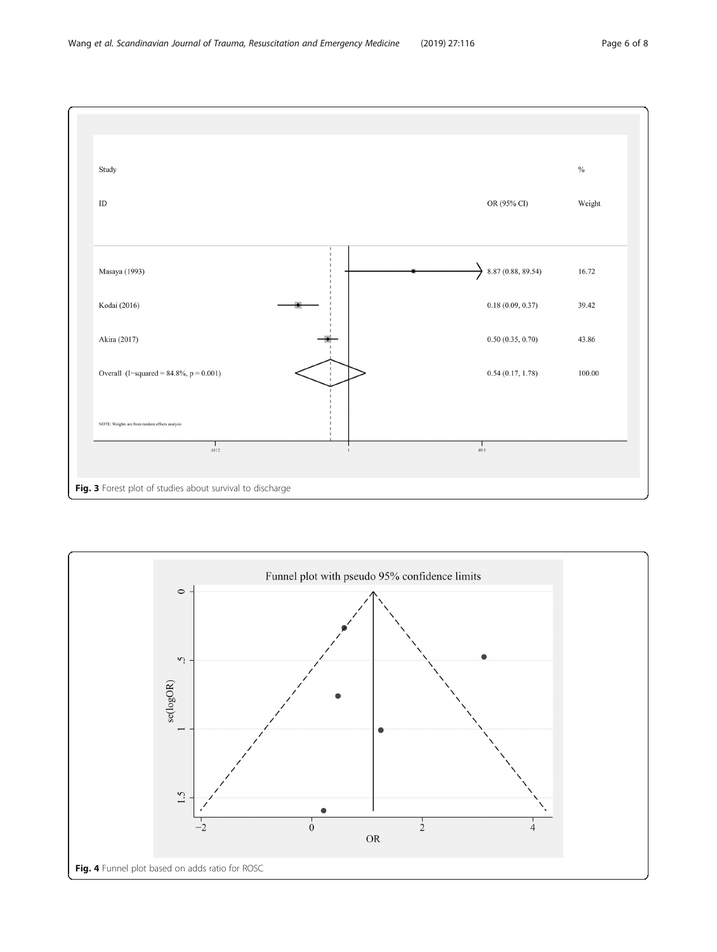<span id="page-5-0"></span>

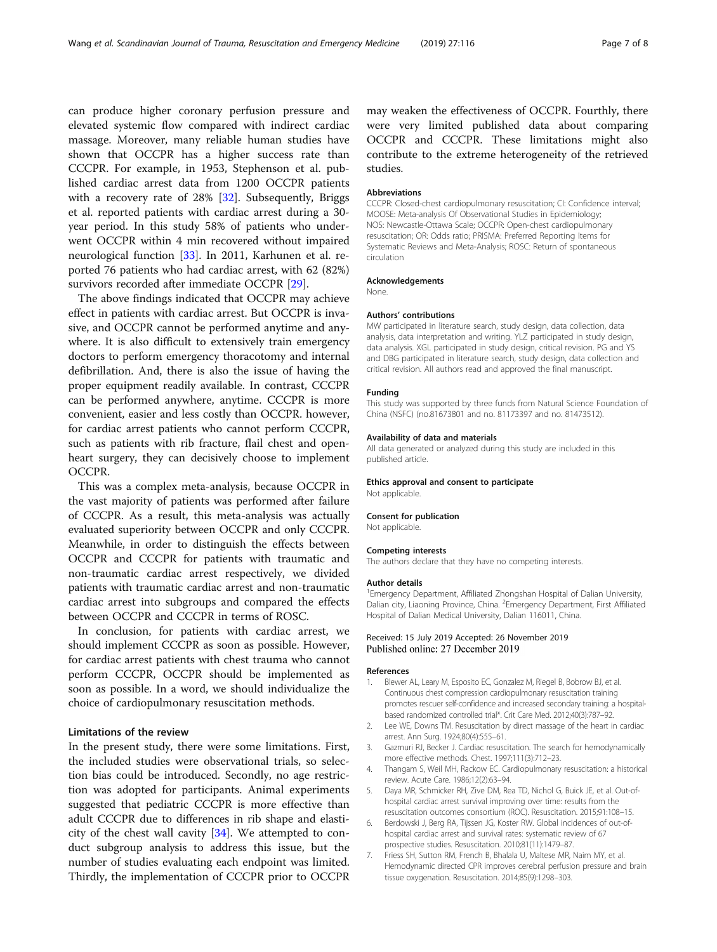<span id="page-6-0"></span>can produce higher coronary perfusion pressure and elevated systemic flow compared with indirect cardiac massage. Moreover, many reliable human studies have shown that OCCPR has a higher success rate than CCCPR. For example, in 1953, Stephenson et al. published cardiac arrest data from 1200 OCCPR patients with a recovery rate of 28% [[32\]](#page-7-0). Subsequently, Briggs et al. reported patients with cardiac arrest during a 30 year period. In this study 58% of patients who underwent OCCPR within 4 min recovered without impaired neurological function [\[33](#page-7-0)]. In 2011, Karhunen et al. reported 76 patients who had cardiac arrest, with 62 (82%) survivors recorded after immediate OCCPR [[29](#page-7-0)].

The above findings indicated that OCCPR may achieve effect in patients with cardiac arrest. But OCCPR is invasive, and OCCPR cannot be performed anytime and anywhere. It is also difficult to extensively train emergency doctors to perform emergency thoracotomy and internal defibrillation. And, there is also the issue of having the proper equipment readily available. In contrast, CCCPR can be performed anywhere, anytime. CCCPR is more convenient, easier and less costly than OCCPR. however, for cardiac arrest patients who cannot perform CCCPR, such as patients with rib fracture, flail chest and openheart surgery, they can decisively choose to implement OCCPR.

This was a complex meta-analysis, because OCCPR in the vast majority of patients was performed after failure of CCCPR. As a result, this meta-analysis was actually evaluated superiority between OCCPR and only CCCPR. Meanwhile, in order to distinguish the effects between OCCPR and CCCPR for patients with traumatic and non-traumatic cardiac arrest respectively, we divided patients with traumatic cardiac arrest and non-traumatic cardiac arrest into subgroups and compared the effects between OCCPR and CCCPR in terms of ROSC.

In conclusion, for patients with cardiac arrest, we should implement CCCPR as soon as possible. However, for cardiac arrest patients with chest trauma who cannot perform CCCPR, OCCPR should be implemented as soon as possible. In a word, we should individualize the choice of cardiopulmonary resuscitation methods.

#### Limitations of the review

In the present study, there were some limitations. First, the included studies were observational trials, so selection bias could be introduced. Secondly, no age restriction was adopted for participants. Animal experiments suggested that pediatric CCCPR is more effective than adult CCCPR due to differences in rib shape and elasticity of the chest wall cavity [\[34](#page-7-0)]. We attempted to conduct subgroup analysis to address this issue, but the number of studies evaluating each endpoint was limited. Thirdly, the implementation of CCCPR prior to OCCPR

may weaken the effectiveness of OCCPR. Fourthly, there were very limited published data about comparing OCCPR and CCCPR. These limitations might also contribute to the extreme heterogeneity of the retrieved studies.

#### Abbreviations

CCCPR: Closed-chest cardiopulmonary resuscitation; CI: Confidence interval; MOOSE: Meta-analysis Of Observational Studies in Epidemiology; NOS: Newcastle-Ottawa Scale; OCCPR: Open-chest cardiopulmonary resuscitation; OR: Odds ratio; PRISMA: Preferred Reporting Items for Systematic Reviews and Meta-Analysis; ROSC: Return of spontaneous circulation

#### Acknowledgements

None.

#### Authors' contributions

MW participated in literature search, study design, data collection, data analysis, data interpretation and writing. YLZ participated in study design, data analysis. XGL participated in study design, critical revision. PG and YS and DBG participated in literature search, study design, data collection and critical revision. All authors read and approved the final manuscript.

#### Funding

This study was supported by three funds from Natural Science Foundation of China (NSFC) (no.81673801 and no. 81173397 and no. 81473512).

#### Availability of data and materials

All data generated or analyzed during this study are included in this published article.

#### Ethics approval and consent to participate

Not applicable.

#### Consent for publication

Not applicable.

#### Competing interests

The authors declare that they have no competing interests.

#### Author details

<sup>1</sup> Emergency Department, Affiliated Zhongshan Hospital of Dalian University Dalian city, Liaoning Province, China. <sup>2</sup>Emergency Department, First Affiliated Hospital of Dalian Medical University, Dalian 116011, China.

#### Received: 15 July 2019 Accepted: 26 November 2019 Published online: 27 December 2019

#### References

- 1. Blewer AL, Leary M, Esposito EC, Gonzalez M, Riegel B, Bobrow BJ, et al. Continuous chest compression cardiopulmonary resuscitation training promotes rescuer self-confidence and increased secondary training: a hospitalbased randomized controlled trial\*. Crit Care Med. 2012;40(3):787–92.
- 2. Lee WE, Downs TM. Resuscitation by direct massage of the heart in cardiac arrest. Ann Surg. 1924;80(4):555–61.
- 3. Gazmuri RJ, Becker J. Cardiac resuscitation. The search for hemodynamically more effective methods. Chest. 1997;111(3):712–23.
- 4. Thangam S, Weil MH, Rackow EC. Cardiopulmonary resuscitation: a historical review. Acute Care. 1986;12(2):63–94.
- 5. Daya MR, Schmicker RH, Zive DM, Rea TD, Nichol G, Buick JE, et al. Out-ofhospital cardiac arrest survival improving over time: results from the resuscitation outcomes consortium (ROC). Resuscitation. 2015;91:108–15.
- 6. Berdowski J, Berg RA, Tijssen JG, Koster RW. Global incidences of out-ofhospital cardiac arrest and survival rates: systematic review of 67 prospective studies. Resuscitation. 2010;81(11):1479–87.
- 7. Friess SH, Sutton RM, French B, Bhalala U, Maltese MR, Naim MY, et al. Hemodynamic directed CPR improves cerebral perfusion pressure and brain tissue oxygenation. Resuscitation. 2014;85(9):1298–303.